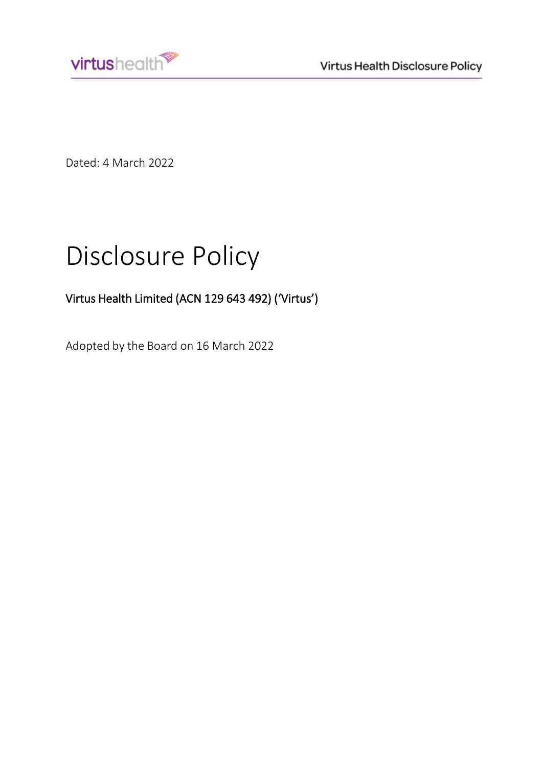



Dated: 4 March 2022

# Disclosure Policy

## Virtus Health Limited (ACN 129 643 492) ('Virtus')

Adopted by the Board on 16 March 2022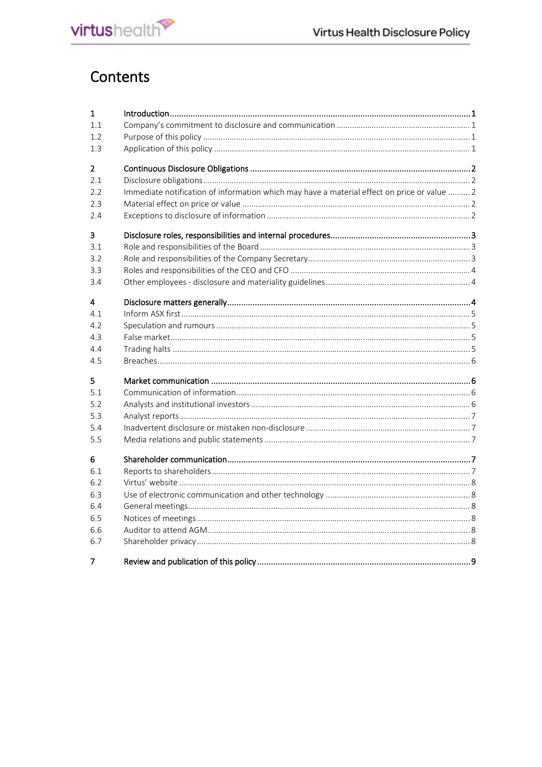

## Contents

| $\mathbf{1}$   |                                                                                             |  |
|----------------|---------------------------------------------------------------------------------------------|--|
| 1.1            |                                                                                             |  |
| 1.2            |                                                                                             |  |
| 1.3            |                                                                                             |  |
| $\overline{2}$ |                                                                                             |  |
| 2.1            |                                                                                             |  |
| 2.2            | Immediate notification of information which may have a material effect on price or value  2 |  |
| 2.3            |                                                                                             |  |
| 2.4            |                                                                                             |  |
| 3              |                                                                                             |  |
| 3.1            |                                                                                             |  |
| 3.2            |                                                                                             |  |
| 3.3            |                                                                                             |  |
| 3.4            |                                                                                             |  |
| 4              |                                                                                             |  |
| 4.1            |                                                                                             |  |
| 4.2            |                                                                                             |  |
| 4.3            |                                                                                             |  |
| 4.4            |                                                                                             |  |
| 4.5            |                                                                                             |  |
| 5              |                                                                                             |  |
| 5.1            |                                                                                             |  |
| 5.2            |                                                                                             |  |
| 5.3            |                                                                                             |  |
| 5.4            |                                                                                             |  |
| 5.5            |                                                                                             |  |
| 6              |                                                                                             |  |
| 6.1            |                                                                                             |  |
| 6.2            |                                                                                             |  |
| 6.3            |                                                                                             |  |
| 6.4            |                                                                                             |  |
| 6.5            |                                                                                             |  |
| 6.6            |                                                                                             |  |
| 6.7            |                                                                                             |  |
| 7              |                                                                                             |  |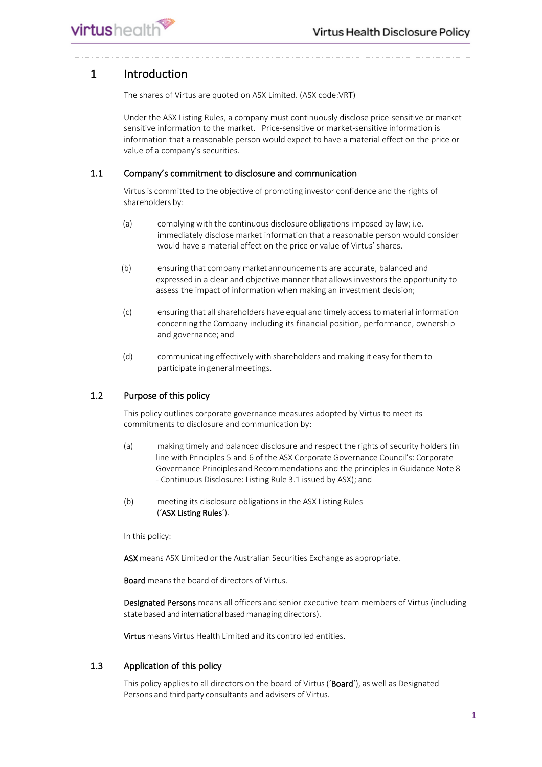## <span id="page-2-0"></span>1 Introduction

The shares of Virtus are quoted on ASX Limited. (ASX code:VRT)

Under the ASX Listing Rules, a company must continuously disclose price-sensitive or market sensitive information to the market. Price-sensitive or market-sensitive information is information that a reasonable person would expect to have a material effect on the price or value of a company's securities.

#### <span id="page-2-1"></span>1.1 Company's commitment to disclosure and communication

Virtus is committed to the objective of promoting investor confidence and the rights of shareholders by:

- (a) complying with the continuous disclosure obligations imposed by law; i.e. immediately disclose market information that a reasonable person would consider would have a material effect on the price or value of Virtus' shares.
- (b) ensuring that company market announcements are accurate, balanced and expressed in a clear and objective manner that allows investors the opportunity to assess the impact of information when making an investment decision;
- (c) ensuring that all shareholders have equal and timely accessto material information concerning the Company including its financial position, performance, ownership and governance; and
- (d) communicating effectively with shareholders and making it easy for them to participate in general meetings.

#### <span id="page-2-2"></span>1.2 Purpose of this policy

This policy outlines corporate governance measures adopted by Virtus to meet its commitments to disclosure and communication by:

- (a) making timely and balanced disclosure and respect the rights of security holders (in line with Principles 5 and 6 of the ASX Corporate Governance Council's: Corporate Governance Principles and Recommendations and the principlesin Guidance Note 8 - Continuous Disclosure: Listing Rule 3.1 issued by ASX); and
- (b) meeting its disclosure obligations in the ASX Listing Rules ('ASX Listing Rules').

In this policy:

ASX means ASX Limited or the Australian Securities Exchange as appropriate.

Board means the board of directors of Virtus.

Designated Persons means all officers and senior executive team members of Virtus(including state based and international based managing directors).

Virtus means Virtus Health Limited and its controlled entities.

#### <span id="page-2-3"></span>1.3 Application of this policy

This policy applies to all directors on the board of Virtus ('Board'), as well as Designated Persons and third party consultants and advisers of Virtus.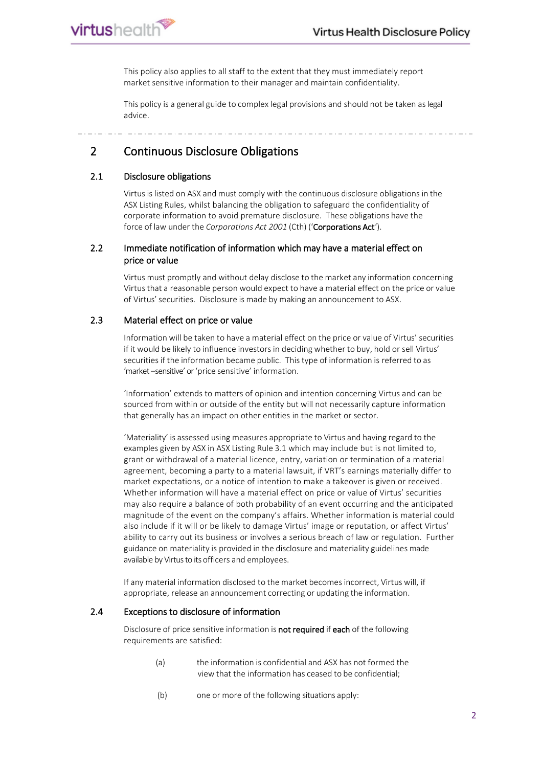This policy also applies to all staff to the extent that they must immediately report market sensitive information to their manager and maintain confidentiality.

This policy is a general guide to complex legal provisions and should not be taken as legal advice.

<span id="page-3-0"></span>2 Continuous Disclosure Obligations

#### <span id="page-3-1"></span>2.1 Disclosure obligations

virtushealth

Virtus is listed on ASX and must comply with the continuous disclosure obligations in the ASX Listing Rules, whilst balancing the obligation to safeguard the confidentiality of corporate information to avoid premature disclosure. These obligations have the force of law under the *Corporations Act 2001* (Cth) ('Corporations Act').

#### <span id="page-3-2"></span>2.2 Immediate notification of information which may have a material effect on price or value

Virtus must promptly and without delay disclose to the market any information concerning Virtus that a reasonable person would expect to have a material effect on the price or value of Virtus' securities. Disclosure is made by making an announcement to ASX.

#### <span id="page-3-3"></span>2.3 Material effect on price or value

Information will be taken to have a material effect on the price or value of Virtus' securities if it would be likely to influence investors in deciding whether to buy, hold or sell Virtus' securities if the information became public. Thistype of information is referred to as 'market –sensitive' or 'price sensitive' information.

'Information' extends to matters of opinion and intention concerning Virtus and can be sourced from within or outside of the entity but will not necessarily capture information that generally has an impact on other entities in the market or sector.

'Materiality' is assessed using measures appropriate to Virtus and having regard to the examples given by ASX in ASX Listing Rule 3.1 which may include but is not limited to, grant or withdrawal of a material licence, entry, variation or termination of a material agreement, becoming a party to a material lawsuit, if VRT's earnings materially differ to market expectations, or a notice of intention to make a takeover is given or received. Whether information will have a material effect on price or value of Virtus' securities may also require a balance of both probability of an event occurring and the anticipated magnitude of the event on the company's affairs. Whether information is material could also include if it will or be likely to damage Virtus' image or reputation, or affect Virtus' ability to carry out its business or involves a serious breach of law or regulation. Further guidance on materiality is provided in the disclosure and materiality guidelines made available by Virtus to its officers and employees.

If any material information disclosed to the market becomes incorrect, Virtus will, if appropriate, release an announcement correcting or updating the information.

#### <span id="page-3-4"></span>2.4 Exceptions to disclosure of information

Disclosure of price sensitive information is not required if each of the following requirements are satisfied:

- (a) the information is confidential and ASX has not formed the view that the information has ceased to be confidential;
- (b) one or more of the following situations apply: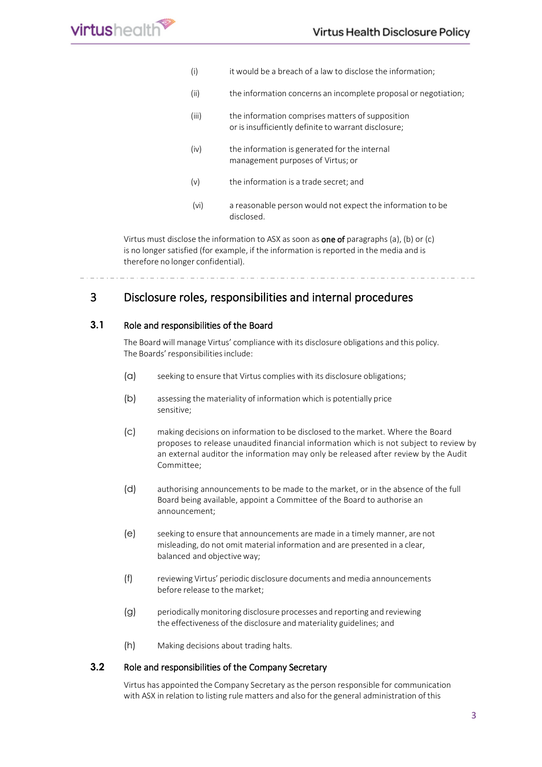| (i)   | it would be a breach of a law to disclose the information;                                               |
|-------|----------------------------------------------------------------------------------------------------------|
| (ii)  | the information concerns an incomplete proposal or negotiation;                                          |
| (iii) | the information comprises matters of supposition<br>or is insufficiently definite to warrant disclosure; |
| (iv)  | the information is generated for the internal<br>management purposes of Virtus; or                       |
| (v)   | the information is a trade secret; and                                                                   |
| (vi)  | a reasonable person would not expect the information to be<br>disclosed.                                 |

Virtus must disclose the information to ASX as soon as **one of** paragraphs (a), (b) or (c) is no longer satisfied (for example, if the information is reported in the media and is therefore no longer confidential).

## <span id="page-4-0"></span>3 Disclosure roles, responsibilities and internal procedures

#### <span id="page-4-1"></span>**3.1** Role and responsibilities of the Board

The Board will manage Virtus' compliance with its disclosure obligations and this policy. The Boards' responsibilities include:

- (a) seeking to ensure that Virtus complies with its disclosure obligations;
- (b) assessing the materiality of information which is potentially price sensitive;
- (c) making decisions on information to be disclosed to the market. Where the Board proposes to release unaudited financial information which is not subject to review by an external auditor the information may only be released after review by the Audit Committee;
- (d) authorising announcements to be made to the market, or in the absence of the full Board being available, appoint a Committee of the Board to authorise an announcement;
- (e) seeking to ensure that announcements are made in a timely manner, are not misleading, do not omit material information and are presented in a clear, balanced and objective way;
- (f) reviewing Virtus' periodic disclosure documents and media announcements before release to the market;
- (g) periodically monitoring disclosure processes and reporting and reviewing the effectiveness of the disclosure and materiality guidelines; and
- (h) Making decisions about trading halts.

#### <span id="page-4-2"></span>**3.2** Role and responsibilities of the Company Secretary

Virtus has appointed the Company Secretary asthe person responsible for communication with ASX in relation to listing rule matters and also for the general administration of this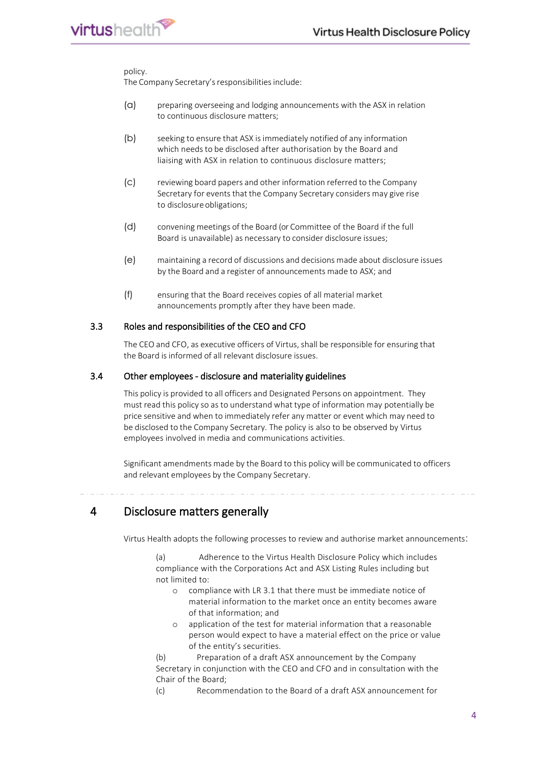#### policy.

virtushealth

The Company Secretary's responsibilities include:

- (a) preparing overseeing and lodging announcements with the ASX in relation to continuous disclosure matters;
- (b) seeking to ensure that ASX isimmediately notified of any information which needs to be disclosed after authorisation by the Board and liaising with ASX in relation to continuous disclosure matters;
- (c) reviewing board papers and other information referred to the Company Secretary for events that the Company Secretary considers may give rise to disclosure obligations;
- (d) convening meetings of the Board (or Committee of the Board if the full Board is unavailable) as necessary to consider disclosure issues;
- (e) maintaining a record of discussions and decisions made about disclosure issues by the Board and a register of announcements made to ASX; and
- (f) ensuring that the Board receives copies of all material market announcements promptly after they have been made.

#### <span id="page-5-0"></span>3.3 Roles and responsibilities of the CEO and CFO

The CEO and CFO, as executive officers of Virtus, shall be responsible for ensuring that the Board is informed of all relevant disclosure issues.

#### <span id="page-5-1"></span>3.4 Other employees - disclosure and materiality guidelines

This policy is provided to all officers and Designated Persons on appointment. They must read this policy so as to understand what type of information may potentially be price sensitive and when to immediately refer any matter or event which may need to be disclosed to the Company Secretary. The policy is also to be observed by Virtus employees involved in media and communications activities.

Significant amendments made by the Board to this policy will be communicated to officers and relevant employees by the Company Secretary.

### <span id="page-5-2"></span>4 Disclosure matters generally

Virtus Health adopts the following processes to review and authorise market announcements:

(a) Adherence to the Virtus Health Disclosure Policy which includes compliance with the Corporations Act and ASX Listing Rules including but not limited to:

- o compliance with LR 3.1 that there must be immediate notice of material information to the market once an entity becomes aware of that information; and
- o application of the test for material information that a reasonable person would expect to have a material effect on the price or value of the entity's securities.

(b) Preparation of a draft ASX announcement by the Company Secretary in conjunction with the CEO and CFO and in consultation with the Chair of the Board;

(c) Recommendation to the Board of a draft ASX announcement for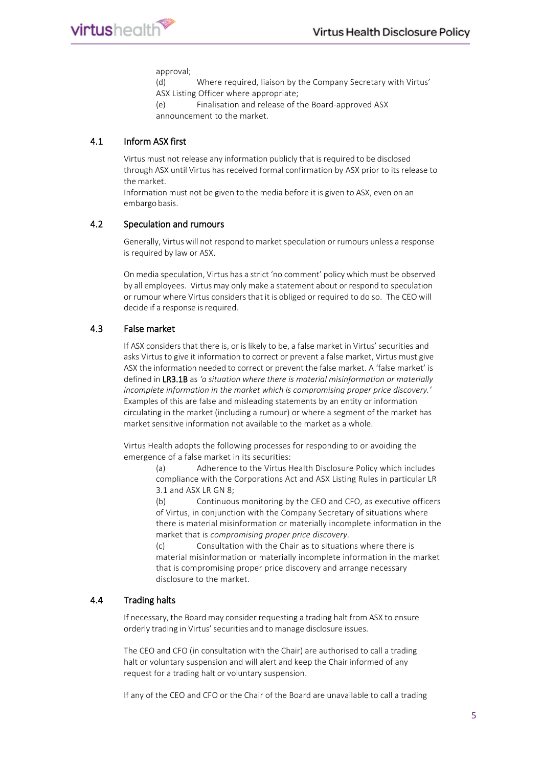

approval;

(d) Where required, liaison by the Company Secretary with Virtus' ASX Listing Officer where appropriate;

(e) Finalisation and release of the Board-approved ASX announcement to the market.

#### <span id="page-6-0"></span>4.1 Inform ASX first

Virtus must not release any information publicly that is required to be disclosed through ASX until Virtus hasreceived formal confirmation by ASX prior to itsrelease to the market.

Information must not be given to the media before it is given to ASX, even on an embargo basis.

#### <span id="page-6-1"></span>4.2 Speculation and rumours

Generally, Virtus will not respond to market speculation or rumours unless a response is required by law or ASX.

On media speculation, Virtus has a strict 'no comment' policy which must be observed by all employees. Virtus may only make a statement about or respond to speculation or rumour where Virtus considersthat it is obliged or required to do so. The CEO will decide if a response is required.

#### <span id="page-6-2"></span>4.3 False market

If ASX considers that there is, or is likely to be, a false market in Virtus' securities and asks Virtus to give it information to correct or prevent a false market, Virtus must give ASX the information needed to correct or prevent the false market. A 'false market' is defined in LR3.1B as *'a situation where there is material misinformation or materially incomplete information in the market which is compromising proper price discovery.'* Examples of this are false and misleading statements by an entity or information circulating in the market (including a rumour) or where a segment of the market has market sensitive information not available to the market as a whole.

Virtus Health adopts the following processes for responding to or avoiding the emergence of a false market in its securities:

> (a) Adherence to the Virtus Health Disclosure Policy which includes compliance with the Corporations Act and ASX Listing Rules in particular LR 3.1 and ASX LR GN 8;

(b) Continuous monitoring by the CEO and CFO, as executive officers of Virtus, in conjunction with the Company Secretary of situations where there is material misinformation or materially incomplete information in the market that is *compromising proper price discovery.*

(c) Consultation with the Chair as to situations where there is material misinformation or materially incomplete information in the market that is compromising proper price discovery and arrange necessary disclosure to the market.

#### <span id="page-6-3"></span>4.4 Trading halts

If necessary, the Board may consider requesting a trading halt from ASX to ensure orderly trading in Virtus' securities and to manage disclosure issues.

The CEO and CFO (in consultation with the Chair) are authorised to call a trading halt or voluntary suspension and will alert and keep the Chair informed of any request for a trading halt or voluntary suspension.

If any of the CEO and CFO or the Chair of the Board are unavailable to call a trading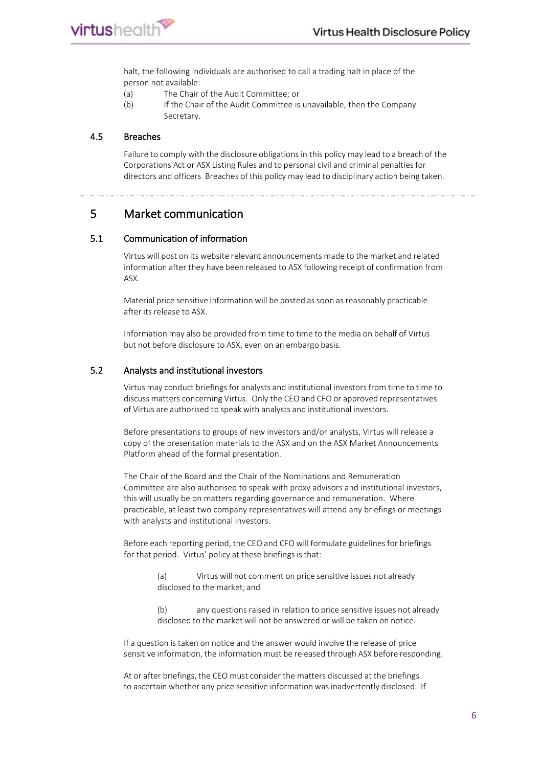halt, the following individuals are authorised to call a trading halt in place of the person not available:

- (a) The Chair of the Audit Committee; or
- (b) If the Chair of the Audit Committee is unavailable, then the Company Secretary.

#### <span id="page-7-0"></span>4.5 Breaches

Failure to comply with the disclosure obligations in this policy may lead to a breach of the Corporations Act or ASX Listing Rules and to personal civil and criminal penaltiesfor directors and officers Breaches of this policy may lead to disciplinary action being taken.

<span id="page-7-1"></span>5 Market communication

#### <span id="page-7-2"></span>5.1 Communication of information

Virtus will post on its website relevant announcements made to the market and related information after they have been released to ASX following receipt of confirmation from ASX.

Material price sensitive information will be posted as soon as reasonably practicable after its release to ASX.

Information may also be provided from time to time to the media on behalf of Virtus but not before disclosure to ASX, even on an embargo basis.

#### <span id="page-7-3"></span>5.2 Analysts and institutional investors

Virtus may conduct briefings for analysts and institutional investors from time to time to discuss matters concerning Virtus. Only the CEO and CFO or approved representatives of Virtus are authorised to speak with analysts and institutional investors.

Before presentations to groups of new investors and/or analysts, Virtus will release a copy of the presentation materials to the ASX and on the ASX Market Announcements Platform ahead of the formal presentation.

The Chair of the Board and the Chair of the Nominations and Remuneration Committee are also authorised to speak with proxy advisors and institutional investors, this will usually be on matters regarding governance and remuneration. Where practicable, at least two company representatives will attend any briefings or meetings with analysts and institutional investors.

Before each reporting period, the CEO and CFO will formulate guidelines for briefings for that period. Virtus' policy at these briefings is that:

- (a) Virtus will not comment on price sensitive issues not already disclosed to the market; and
- (b) any questions raised in relation to price sensitive issues not already disclosed to the market will not be answered or will be taken on notice.

If a question is taken on notice and the answer would involve the release of price sensitive information, the information must be released through ASX before responding.

At or after briefings, the CEO must consider the matters discussed at the briefings to ascertain whether any price sensitive information was inadvertently disclosed. If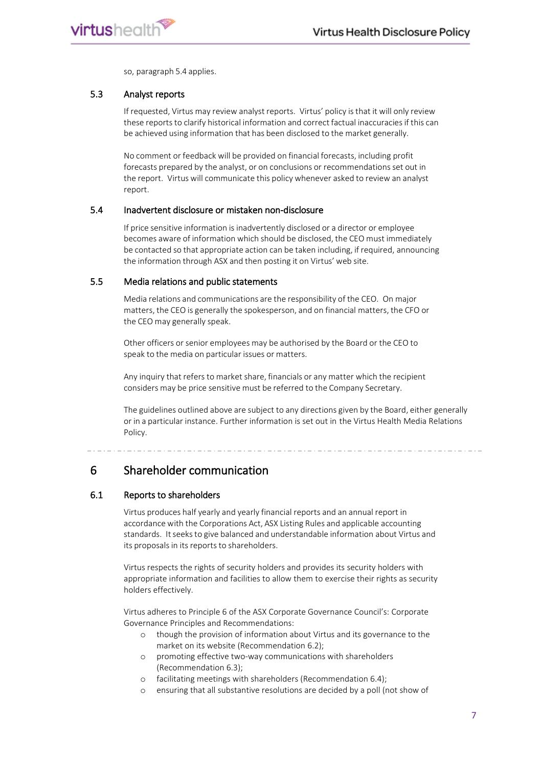

so, paragraph 5.4 applies.

#### <span id="page-8-0"></span>5.3 Analyst reports

If requested, Virtus may review analyst reports. Virtus' policy isthat it will only review these reports to clarify historical information and correct factual inaccuracies if this can be achieved using information that has been disclosed to the market generally.

No comment or feedback will be provided on financial forecasts, including profit forecasts prepared by the analyst, or on conclusions or recommendations set out in the report. Virtus will communicate this policy whenever asked to review an analyst report.

#### <span id="page-8-1"></span>5.4 Inadvertent disclosure or mistaken non-disclosure

If price sensitive information is inadvertently disclosed or a director or employee becomes aware of information which should be disclosed, the CEO must immediately be contacted so that appropriate action can be taken including, if required, announcing the information through ASX and then posting it on Virtus' web site.

#### <span id="page-8-2"></span>5.5 Media relations and public statements

Media relations and communications are the responsibility of the CEO. On major matters, the CEO is generally the spokesperson, and on financial matters, the CFO or the CEO may generally speak.

Other officers or senior employees may be authorised by the Board or the CEO to speak to the media on particular issues or matters.

Any inquiry that refers to market share, financials or any matter which the recipient considers may be price sensitive must be referred to the Company Secretary.

The guidelines outlined above are subject to any directions given by the Board, either generally or in a particular instance. Further information is set out in the Virtus Health Media Relations Policy.

## <span id="page-8-3"></span>6 Shareholder communication

#### <span id="page-8-4"></span>6.1 Reports to shareholders

Virtus produces half yearly and yearly financial reports and an annual report in accordance with the Corporations Act, ASX Listing Rules and applicable accounting standards. Itseeksto give balanced and understandable information about Virtus and its proposals in its reports to shareholders.

Virtus respects the rights of security holders and provides its security holders with appropriate information and facilities to allow them to exercise their rights as security holders effectively.

Virtus adheres to Principle 6 of the ASX Corporate Governance Council's: Corporate Governance Principles and Recommendations:

- o though the provision of information about Virtus and its governance to the market on its website (Recommendation 6.2);
- o promoting effective two-way communications with shareholders (Recommendation 6.3);
- o facilitating meetings with shareholders (Recommendation 6.4);
- o ensuring that all substantive resolutions are decided by a poll (not show of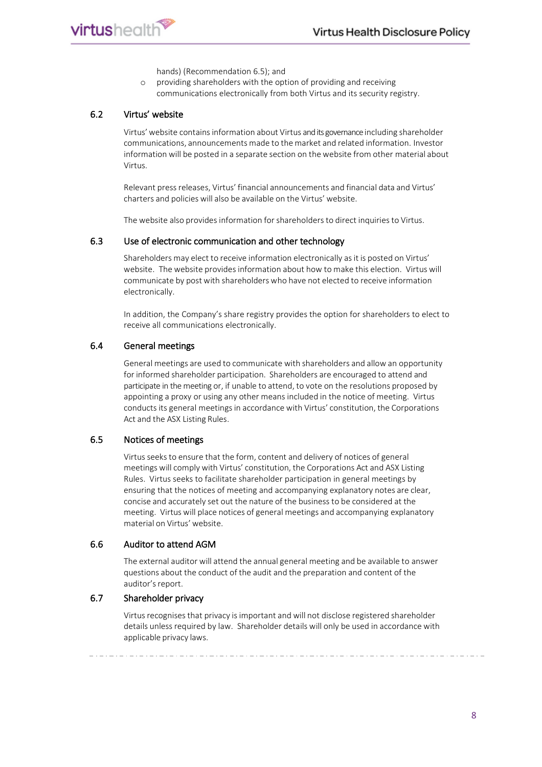



hands) (Recommendation 6.5); and

o providing shareholders with the option of providing and receiving communications electronically from both Virtus and its security registry.

#### <span id="page-9-0"></span>6.2 Virtus' website

Virtus'website containsinformation about Virtus and its governance including shareholder communications, announcements made to the market and related information. Investor information will be posted in a separate section on the website from other material about Virtus.

Relevant press releases, Virtus' financial announcements and financial data and Virtus' charters and policies will also be available on the Virtus' website.

The website also provides information for shareholders to direct inquiries to Virtus.

#### <span id="page-9-1"></span>6.3 Use of electronic communication and other technology

Shareholders may elect to receive information electronically asit is posted on Virtus' website. The website provides information about how to make this election. Virtus will communicate by post with shareholders who have not elected to receive information electronically.

In addition, the Company's share registry provides the option for shareholders to elect to receive all communications electronically.

#### <span id="page-9-2"></span>6.4 General meetings

General meetings are used to communicate with shareholders and allow an opportunity for informed shareholder participation. Shareholders are encouraged to attend and participate in the meeting or, if unable to attend, to vote on the resolutions proposed by appointing a proxy or using any other means included in the notice of meeting. Virtus conducts its general meetingsin accordance with Virtus' constitution, the Corporations Act and the ASX Listing Rules.

#### <span id="page-9-3"></span>6.5 Notices of meetings

Virtus seeks to ensure that the form, content and delivery of notices of general meetings will comply with Virtus' constitution, the Corporations Act and ASX Listing Rules. Virtus seeks to facilitate shareholder participation in general meetings by ensuring that the notices of meeting and accompanying explanatory notes are clear, concise and accurately set out the nature of the business to be considered at the meeting. Virtus will place notices of general meetings and accompanying explanatory material on Virtus' website.

#### <span id="page-9-4"></span>6.6 Auditor to attend AGM

The external auditor will attend the annual general meeting and be available to answer questions about the conduct of the audit and the preparation and content of the auditor's report.

#### <span id="page-9-6"></span><span id="page-9-5"></span>6.7 Shareholder privacy

Virtus recognises that privacy is important and will not disclose registered shareholder details unlessrequired by law. Shareholder details will only be used in accordance with applicable privacy laws.